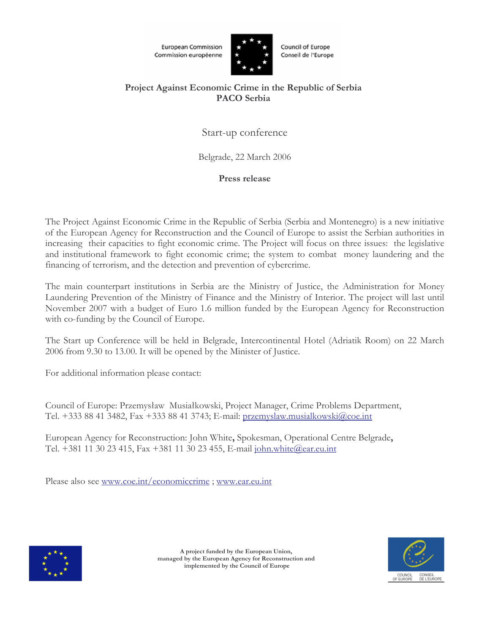**European Commission** Commission européenne



**Council of Europe** Conseil de l'Europe

# Project Against Economic Crime in the Republic of Serbia **PACO** Serbia

Start-up conference

Belgrade, 22 March 2006

# Press release

The Project Against Economic Crime in the Republic of Serbia (Serbia and Montenegro) is a new initiative of the European Agency for Reconstruction and the Council of Europe to assist the Serbian authorities in increasing their capacities to fight economic crime. The Project will focus on three issues: the legislative and institutional framework to fight economic crime; the system to combat money laundering and the financing of terrorism, and the detection and prevention of cybercrime.

The main counterpart institutions in Serbia are the Ministry of Justice, the Administration for Money Laundering Prevention of the Ministry of Finance and the Ministry of Interior. The project will last until November 2007 with a budget of Euro 1.6 million funded by the European Agency for Reconstruction with co-funding by the Council of Europe.

The Start up Conference will be held in Belgrade, Intercontinental Hotel (Adriatik Room) on 22 March 2006 from 9.30 to 13.00. It will be opened by the Minister of Justice.

For additional information please contact:

Council of Europe: Przemysław Musiałkowski, Project Manager, Crime Problems Department, Tel. +333 88 41 3482, Fax +333 88 41 3743; E-mail: przemyslaw.musialkowski@coe.int

European Agency for Reconstruction: John White, Spokesman, Operational Centre Belgrade, Tel. +381 11 30 23 415, Fax +381 11 30 23 455, E-mail john.white@ear.eu.int

Please also see www.coe.int/economiccrime; www.ear.eu.int





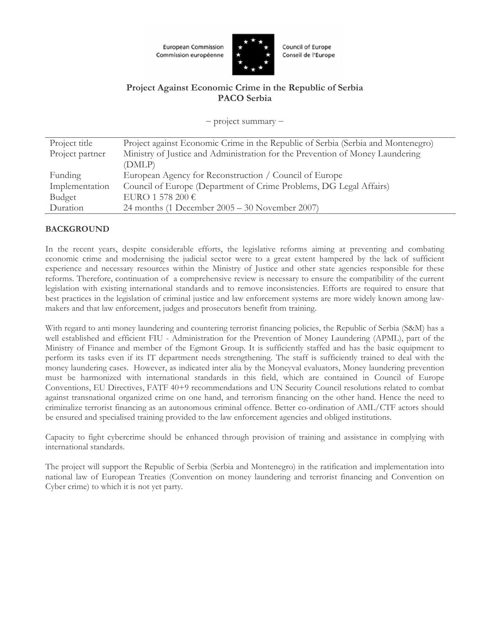



**Council of Europe** Conseil de l'Europe

## Project Against Economic Crime in the Republic of Serbia **PACO** Serbia

 $-$  project summary  $-$ 

| Project title   | Project against Economic Crime in the Republic of Serbia (Serbia and Montenegro) |
|-----------------|----------------------------------------------------------------------------------|
| Project partner | Ministry of Justice and Administration for the Prevention of Money Laundering    |
|                 | (DMLP)                                                                           |
| Funding         | European Agency for Reconstruction / Council of Europe                           |
| Implementation  | Council of Europe (Department of Crime Problems, DG Legal Affairs)               |
| Budget          | EURO 1 578 200 $\in$                                                             |
| Duration        | 24 months (1 December $2005 - 30$ November 2007)                                 |

## **BACKGROUND**

In the recent years, despite considerable efforts, the legislative reforms aiming at preventing and combating economic crime and modernising the judicial sector were to a great extent hampered by the lack of sufficient experience and necessary resources within the Ministry of Justice and other state agencies responsible for these reforms. Therefore, continuation of a comprehensive review is necessary to ensure the compatibility of the current legislation with existing international standards and to remove inconsistencies. Efforts are required to ensure that best practices in the legislation of criminal justice and law enforcement systems are more widely known among lawmakers and that law enforcement, judges and prosecutors benefit from training.

With regard to anti money laundering and countering terrorist financing policies, the Republic of Serbia (S&M) has a well established and efficient FIU - Administration for the Prevention of Money Laundering (APML), part of the Ministry of Finance and member of the Egmont Group. It is sufficiently staffed and has the basic equipment to perform its tasks even if its IT department needs strengthening. The staff is sufficiently trained to deal with the money laundering cases. However, as indicated inter alia by the Moneyval evaluators, Money laundering prevention must be harmonized with international standards in this field, which are contained in Council of Europe Conventions, EU Directives, FATF 40+9 recommendations and UN Security Council resolutions related to combat against transnational organized crime on one hand, and terrorism financing on the other hand. Hence the need to criminalize terrorist financing as an autonomous criminal offence. Better co-ordination of AML/CTF actors should be ensured and specialised training provided to the law enforcement agencies and obliged institutions.

Capacity to fight cybercrime should be enhanced through provision of training and assistance in complying with international standards.

The project will support the Republic of Serbia (Serbia and Montenegro) in the ratification and implementation into national law of European Treaties (Convention on money laundering and terrorist financing and Convention on Cyber crime) to which it is not yet party.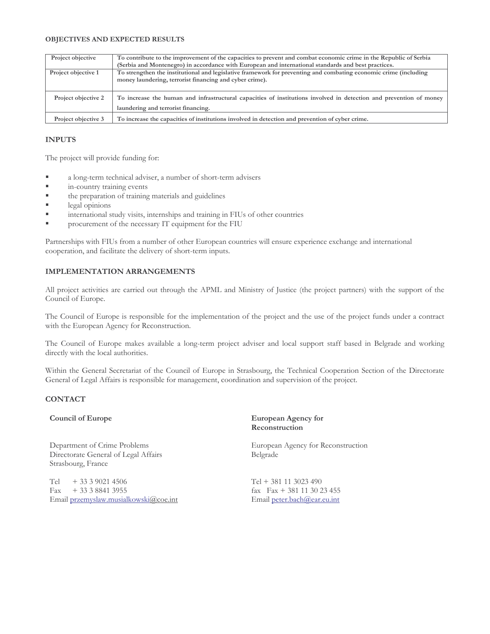#### **OBJECTIVES AND EXPECTED RESULTS**

| Project objective   | To contribute to the improvement of the capacities to prevent and combat economic crime in the Republic of Serbia  |
|---------------------|--------------------------------------------------------------------------------------------------------------------|
|                     | (Serbia and Montenegro) in accordance with European and international standards and best practices.                |
| Project objective 1 | To strengthen the institutional and legislative framework for preventing and combating economic crime (including   |
|                     | money laundering, terrorist financing and cyber crime).                                                            |
|                     |                                                                                                                    |
| Project objective 2 | To increase the human and infrastructural capacities of institutions involved in detection and prevention of money |
|                     | laundering and terrorist financing.                                                                                |
| Project objective 3 | To increase the capacities of institutions involved in detection and prevention of cyber crime.                    |

### **INPUTS**

The project will provide funding for:

- ٠ a long-term technical adviser, a number of short-term advisers
- j. in-country training events
- ä, the preparation of training materials and guidelines
- Ė legal opinions
- international study visits, internships and training in FIUs of other countries
- × procurement of the necessary IT equipment for the FIU

Partnerships with FIUs from a number of other European countries will ensure experience exchange and international cooperation, and facilitate the delivery of short-term inputs.

### **IMPLEMENTATION ARRANGEMENTS**

All project activities are carried out through the APML and Ministry of Justice (the project partners) with the support of the Council of Europe.

The Council of Europe is responsible for the implementation of the project and the use of the project funds under a contract with the European Agency for Reconstruction.

The Council of Europe makes available a long-term project adviser and local support staff based in Belgrade and working directly with the local authorities.

Within the General Secretariat of the Council of Europe in Strasbourg, the Technical Cooperation Section of the Directorate General of Legal Affairs is responsible for management, coordination and supervision of the project.

### **CONTACT**

### **Council of Europe**

Department of Crime Problems Directorate General of Legal Affairs Strasbourg, France

Tel  $+33390214506$ Fax  $+333388413955$ Email przemyslaw.musialkowski@coe.int **European Agency for** Reconstruction

European Agency for Reconstruction Belgrade

 $Tel + 381113023490$  $\text{fax}$   $\text{Fax} + 381$  11 30 23 455 Email peter.bach@ear.eu.int